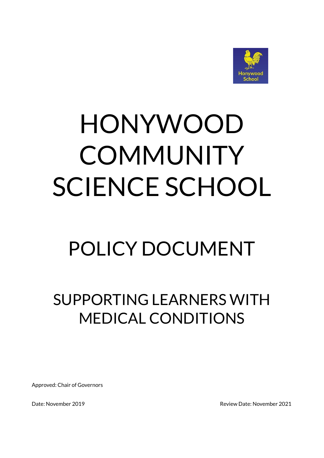

# HONYWOOD **COMMUNITY** SCIENCE SCHOOL

## POLICY DOCUMENT

### SUPPORTING LEARNERS WITH MEDICAL CONDITIONS

Approved: Chair of Governors

Date: November 2019 **Date: November 2021**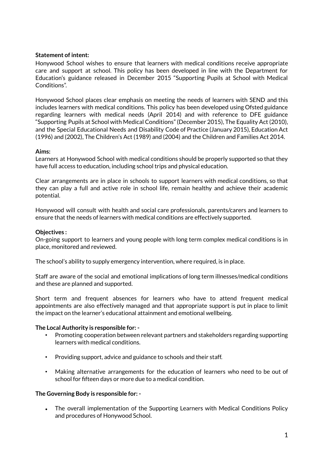#### **Statement of intent:**

Honywood School wishes to ensure that learners with medical conditions receive appropriate care and support at school. This policy has been developed in line with the Department for Education's guidance released in December 2015 "Supporting Pupils at School with Medical Conditions".

Honywood School places clear emphasis on meeting the needs of learners with SEND and this includes learners with medical conditions. This policy has been developed using Ofsted guidance regarding learners with medical needs (April 2014) and with reference to DFE guidance "Supporting Pupils at School with Medical Conditions" (December 2015), The Equality Act (2010), and the Special Educational Needs and Disability Code of Practice (January 2015), Education Act (1996) and (2002), The Children's Act (1989) and (2004) and the Children and Families Act 2014.

#### **Aims:**

Learners at Honywood School with medical conditions should be properly supported so that they have full access to education, including school trips and physical education.

Clear arrangements are in place in schools to support learners with medical conditions, so that they can play a full and active role in school life, remain healthy and achieve their academic potential.

Honywood will consult with health and social care professionals, parents/carers and learners to ensure that the needs of learners with medical conditions are effectively supported.

#### **Objectives :**

On-going support to learners and young people with long term complex medical conditions is in place, monitored and reviewed.

The school's ability to supply emergency intervention, where required, is in place.

Staff are aware of the social and emotional implications of long term illnesses/medical conditions and these are planned and supported.

Short term and frequent absences for learners who have to attend frequent medical appointments are also effectively managed and that appropriate support is put in place to limit the impact on the learner's educational attainment and emotional wellbeing.

#### **The Local Authority is responsible for: -**

- Promoting cooperation between relevant partners and stakeholders regarding supporting learners with medical conditions.
- Providing support, advice and guidance to schools and their staff.
- Making alternative arrangements for the education of learners who need to be out of school for fifteen days or more due to a medical condition.

#### **The Governing Body is responsible for: -**

• The overall implementation of the Supporting Learners with Medical Conditions Policy and procedures of Honywood School.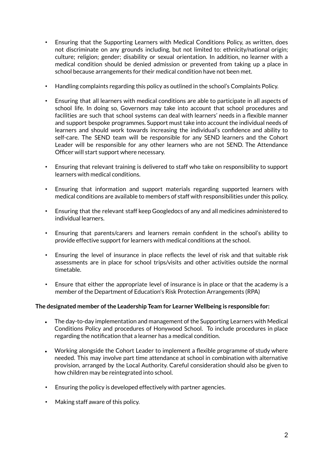- Ensuring that the Supporting Learners with Medical Conditions Policy, as written, does not discriminate on any grounds including, but not limited to: ethnicity/national origin; culture; religion; gender; disability or sexual orientation. In addition, no learner with a medical condition should be denied admission or prevented from taking up a place in school because arrangements for their medical condition have not been met.
- Handling complaints regarding this policy as outlined in the school's Complaints Policy.
- Ensuring that all learners with medical conditions are able to participate in all aspects of school life. In doing so, Governors may take into account that school procedures and facilities are such that school systems can deal with learners' needs in a flexible manner and support bespoke programmes. Support must take into account the individual needs of learners and should work towards increasing the individual's confidence and ability to self-care. The SEND team will be responsible for any SEND learners and the Cohort Leader will be responsible for any other learners who are not SEND. The Attendance Officer will start support where necessary.
- Ensuring that relevant training is delivered to staff who take on responsibility to support learners with medical conditions.
- Ensuring that information and support materials regarding supported learners with medical conditions are available to members of staff with responsibilities under this policy.
- Ensuring that the relevant staff keep Googledocs of any and all medicines administered to individual learners.
- Ensuring that parents/carers and learners remain confident in the school's ability to provide effective support for learners with medical conditions at the school.
- Ensuring the level of insurance in place reflects the level of risk and that suitable risk assessments are in place for school trips/visits and other activities outside the normal timetable.
- Ensure that either the appropriate level of insurance is in place or that the academy is a member of the Department of Education's Risk Protection Arrangements (RPA)

#### **The designated member ofthe Leadership Team for Learner Wellbeing is responsible for:**

- The day-to-day implementation and management of the Supporting Learners with Medical Conditions Policy and procedures of Honywood School. To include procedures in place regarding the notification that a learner has a medical condition.
- Working alongside the Cohort Leader to implement a flexible programme of study where needed. This may involve part time attendance at school in combination with alternative provision, arranged by the Local Authority. Careful consideration should also be given to how children may be reintegrated into school.
- Ensuring the policy is developed effectively with partner agencies.
- Making staff aware of this policy.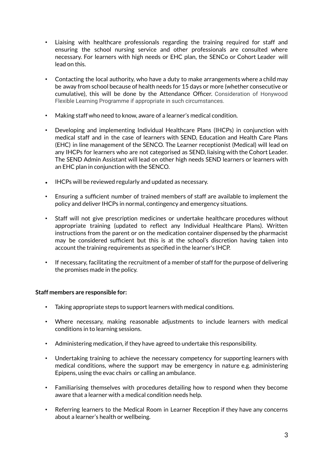- Liaising with healthcare professionals regarding the training required for staff and ensuring the school nursing service and other professionals are consulted where necessary. For learners with high needs or EHC plan, the SENCo or Cohort Leader will lead on this.
- Contacting the local authority, who have a duty to make arrangements where a child may be away from school because of health needs for 15 days or more (whether consecutive or cumulative), this will be done by the Attendance Officer. Consideration of Honywood Flexible Learning Programme if appropriate in such circumstances.
- Making staff who need to know, aware of a learner's medical condition.
- Developing and implementing Individual Healthcare Plans (IHCPs) in conjunction with medical staff and in the case of learners with SEND, Education and Health Care Plans (EHC) in line management of the SENCO. The Learner receptionist (Medical) will lead on any IHCPs for learners who are not categorised as SEND, liaising with the Cohort Leader. The SEND Admin Assistant will lead on other high needs SEND learners or learners with an EHC plan in conjunction with the SENCO.
- IHCPs will be reviewed regularly and updated as necessary.
- Ensuring a sufficient number of trained members of staff are available to implement the policy and deliver IHCPs in normal, contingency and emergency situations.
- Staff will not give prescription medicines or undertake healthcare procedures without appropriate training (updated to reflect any Individual Healthcare Plans). Written instructions from the parent or on the medication container dispensed by the pharmacist may be considered sufficient but this is at the school's discretion having taken into account the training requirements as specified in the learner's IHCP.
- If necessary, facilitating the recruitment of a member of staff for the purpose of delivering the promises made in the policy.

#### **Staff members are responsible for:**

- Taking appropriate steps to support learners with medical conditions.
- Where necessary, making reasonable adjustments to include learners with medical conditions in to learning sessions.
- Administering medication, if they have agreed to undertake this responsibility.
- Undertaking training to achieve the necessary competency for supporting learners with medical conditions, where the support may be emergency in nature e.g. administering Epipens, using the evac chairs or calling an ambulance.
- Familiarising themselves with procedures detailing how to respond when they become aware that a learner with a medical condition needs help.
- Referring learners to the Medical Room in Learner Reception if they have any concerns about a learner's health or wellbeing.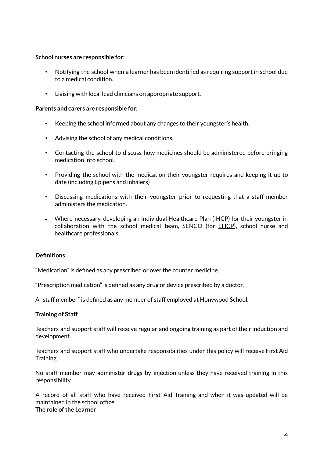#### **School nurses are responsible for:**

- Notifying the school when a learner has been identified as requiring support in school due to a medical condition.
- Liaising with local lead clinicians on appropriate support.

#### **Parents and carers are responsible for:**

- Keeping the school informed about any changes to their youngster's health.
- Advising the school of any medical conditions.
- Contacting the school to discuss how medicines should be administered before bringing medication into school.
- Providing the school with the medication their youngster requires and keeping it up to date (including Epipens and inhalers)
- Discussing medications with their youngster prior to requesting that a staff member administers the medication.
- Where necessary, developing an Individual Healthcare Plan (IHCP) for their youngster in collaboration with the school medical team, SENCO (for EHCP), school nurse and healthcare professionals.

#### **Definitions**

"Medication" is defined as any prescribed or over the counter medicine.

"Prescription medication" is defined as any drug or device prescribed by a doctor.

A "staff member" is defined as any member of staff employed at Honywood School.

#### **Training of Staff**

Teachers and support staff will receive regular and ongoing training as part of their induction and development.

Teachers and support staff who undertake responsibilities under this policy will receive First Aid Training.

No staff member may administer drugs by injection unless they have received training in this responsibility.

A record of all staff who have received First Aid Training and when it was updated will be maintained in the school office.

#### **The role ofthe Learner**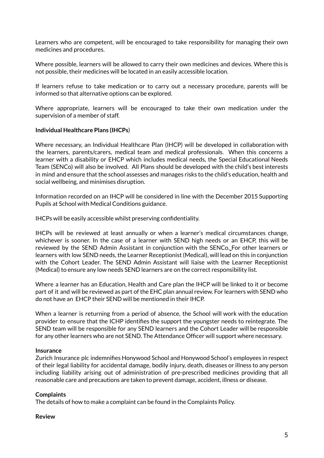Learners who are competent, will be encouraged to take responsibility for managing their own medicines and procedures.

Where possible, learners will be allowed to carry their own medicines and devices. Where this is not possible, their medicines will be located in an easily accessible location.

If learners refuse to take medication or to carry out a necessary procedure, parents will be informed so that alternative options can be explored.

Where appropriate, learners will be encouraged to take their own medication under the supervision of a member of staff.

#### **Individual Healthcare Plans (IHCPs**)

Where necessary, an Individual Healthcare Plan (IHCP) will be developed in collaboration with the learners, parents/carers, medical team and medical professionals. When this concerns a learner with a disability or EHCP which includes medical needs, the Special Educational Needs Team (SENCo) will also be involved. All Plans should be developed with the child's best interests in mind and ensure that the school assesses and manages risks to the child's education, health and social wellbeing, and minimises disruption.

Information recorded on an IHCP will be considered in line with the December 2015 Supporting Pupils at School with Medical Conditions guidance.

IHCPs will be easily accessible whilst preserving confidentiality.

IHCPs will be reviewed at least annually or when a learner's medical circumstances change, whichever is sooner. In the case of a learner with SEND high needs or an EHCP, this will be reviewed by the SEND Admin Assistant in conjunction with the SENCo. For other learners or learners with low SEND needs, the Learner Receptionist (Medical), will lead on this in conjunction with the Cohort Leader. The SEND Admin Assistant will liaise with the Learner Receptionist (Medical) to ensure any low needs SEND learners are on the correct responsibility list.

Where a learner has an Education, Health and Care plan the IHCP will be linked to it or become part of it and will be reviewed as part of the EHC plan annual review. For learners with SEND who do not have an EHCP their SEND will be mentioned in their IHCP.

When a learner is returning from a period of absence, the School will work with the education provider to ensure that the ICHP identifies the support the youngster needs to reintegrate. The SEND team will be responsible for any SEND learners and the Cohort Leader will be responsible for any other learners who are not SEND. The Attendance Officer will support where necessary.

#### **Insurance**

Zurich Insurance plc indemnifies Honywood School and Honywood School's employees in respect of their legal liability for accidental damage, bodily injury, death, diseases or illness to any person including liability arising out of administration of pre-prescribed medicines providing that all reasonable care and precautions are taken to prevent damage, accident, illness or disease.

#### **Complaints**

The details of how to make a complaint can be found in the Complaints Policy.

#### **Review**